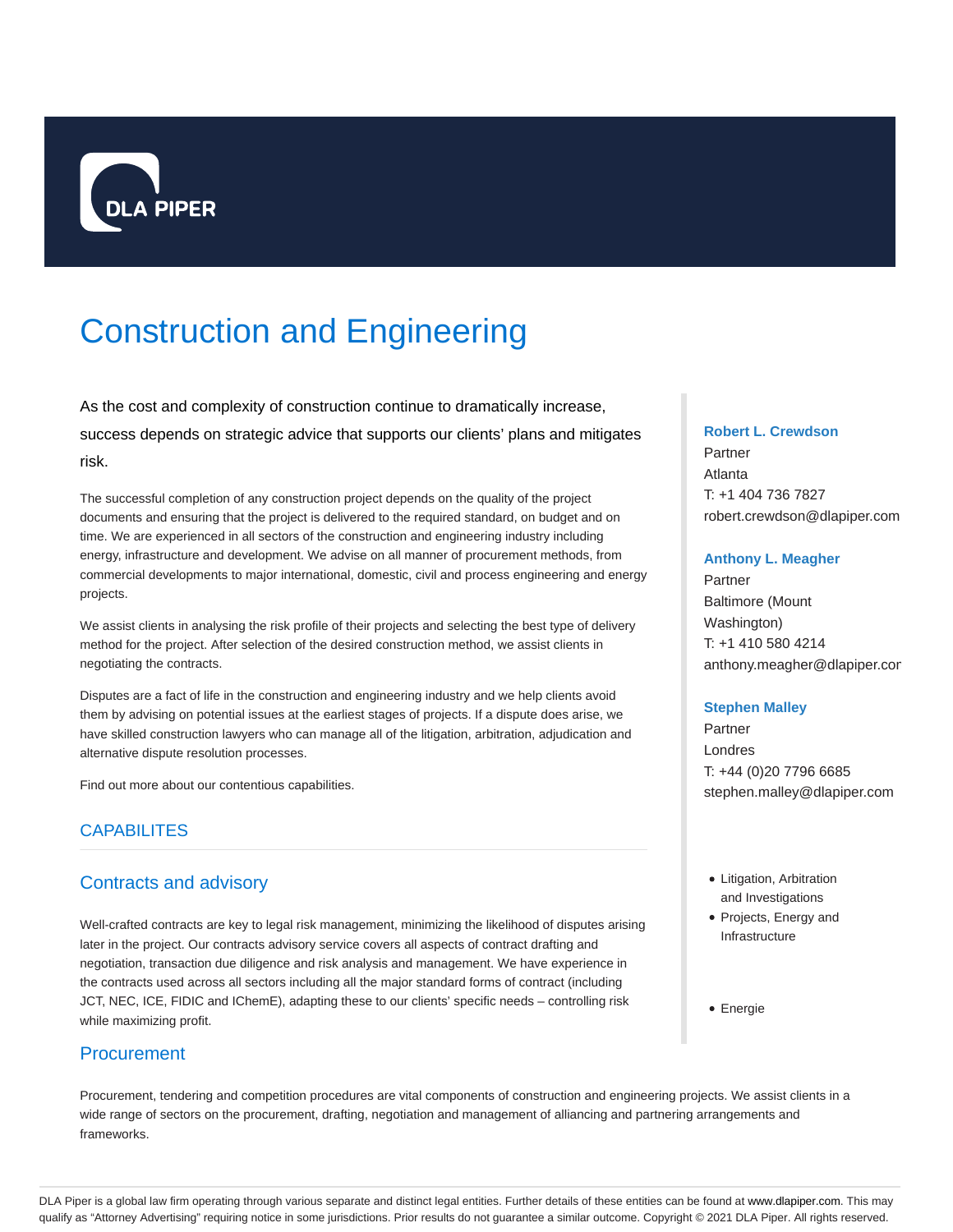

# Construction and Engineering

As the cost and complexity of construction continue to dramatically increase, success depends on strategic advice that supports our clients' plans and mitigates risk.

The successful completion of any construction project depends on the quality of the project documents and ensuring that the project is delivered to the required standard, on budget and on time. We are experienced in all sectors of the construction and engineering industry including energy, infrastructure and development. We advise on all manner of procurement methods, from commercial developments to major international, domestic, civil and process engineering and energy projects.

We assist clients in analysing the risk profile of their projects and selecting the best type of delivery method for the project. After selection of the desired construction method, we assist clients in negotiating the contracts.

Disputes are a fact of life in the construction and engineering industry and we help clients avoid them by advising on potential issues at the earliest stages of projects. If a dispute does arise, we have skilled construction lawyers who can manage all of the litigation, arbitration, adjudication and alternative dispute resolution processes.

Find out more about our contentious capabilities.

# **CAPABILITES**

## Contracts and advisory

Well-crafted contracts are key to legal risk management, minimizing the likelihood of disputes arising later in the project. Our contracts advisory service covers all aspects of contract drafting and negotiation, transaction due diligence and risk analysis and management. We have experience in the contracts used across all sectors including all the major standard forms of contract (including JCT, NEC, ICE, FIDIC and IChemE), adapting these to our clients' specific needs – controlling risk while maximizing profit.

## **Procurement**

Procurement, tendering and competition procedures are vital components of construction and engineering projects. We assist clients in a wide range of sectors on the procurement, drafting, negotiation and management of alliancing and partnering arrangements and frameworks.

#### **Robert L. Crewdson**

Partner Atlanta T: +1 404 736 7827 robert.crewdson@dlapiper.com

#### **Anthony L. Meagher**

Partner Baltimore (Mount Washington) T: +1 410 580 4214 anthony.meagher@dlapiper.cor

#### **Stephen Malley**

Partner Londres T: +44 (0)20 7796 6685 stephen.malley@dlapiper.com

- Litigation, Arbitration and Investigations
- Projects, Energy and Infrastructure

Energie

DLA Piper is a global law firm operating through various separate and distinct legal entities. Further details of these entities can be found at www.dlapiper.com. This may qualify as "Attorney Advertising" requiring notice in some jurisdictions. Prior results do not guarantee a similar outcome. Copyright @ 2021 DLA Piper. All rights reserved.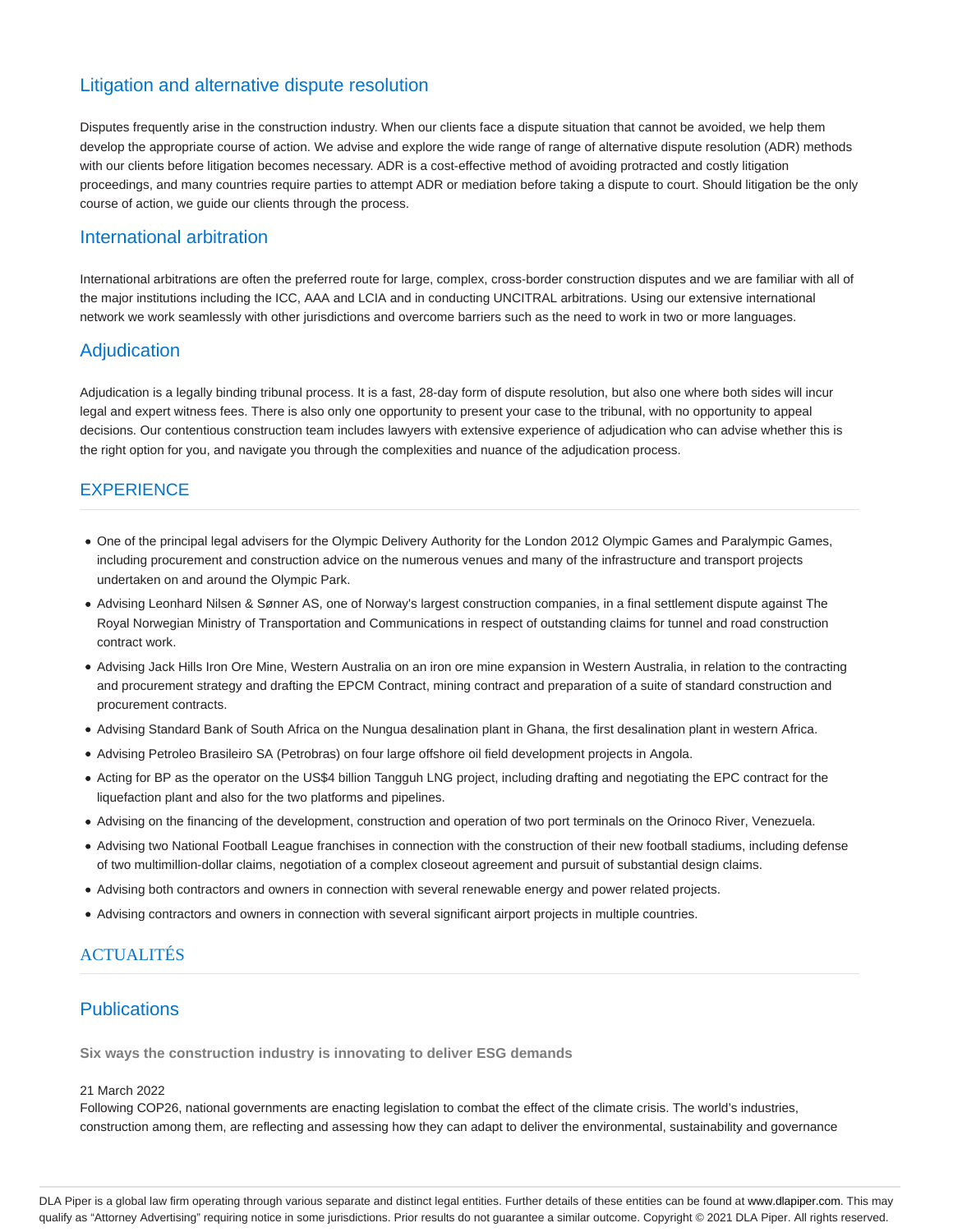## Litigation and alternative dispute resolution

Disputes frequently arise in the construction industry. When our clients face a dispute situation that cannot be avoided, we help them develop the appropriate course of action. We advise and explore the wide range of range of alternative dispute resolution (ADR) methods with our clients before litigation becomes necessary. ADR is a cost-effective method of avoiding protracted and costly litigation proceedings, and many countries require parties to attempt ADR or mediation before taking a dispute to court. Should litigation be the only course of action, we guide our clients through the process.

#### International arbitration

International arbitrations are often the preferred route for large, complex, cross-border construction disputes and we are familiar with all of the major institutions including the ICC, AAA and LCIA and in conducting UNCITRAL arbitrations. Using our extensive international network we work seamlessly with other jurisdictions and overcome barriers such as the need to work in two or more languages.

## **Adjudication**

Adjudication is a legally binding tribunal process. It is a fast, 28-day form of dispute resolution, but also one where both sides will incur legal and expert witness fees. There is also only one opportunity to present your case to the tribunal, with no opportunity to appeal decisions. Our contentious construction team includes lawyers with extensive experience of adjudication who can advise whether this is the right option for you, and navigate you through the complexities and nuance of the adjudication process.

## **EXPERIENCE**

- One of the principal legal advisers for the Olympic Delivery Authority for the London 2012 Olympic Games and Paralympic Games, including procurement and construction advice on the numerous venues and many of the infrastructure and transport projects undertaken on and around the Olympic Park.
- Advising Leonhard Nilsen & Sønner AS, one of Norway's largest construction companies, in a final settlement dispute against The Royal Norwegian Ministry of Transportation and Communications in respect of outstanding claims for tunnel and road construction contract work.
- Advising Jack Hills Iron Ore Mine, Western Australia on an iron ore mine expansion in Western Australia, in relation to the contracting and procurement strategy and drafting the EPCM Contract, mining contract and preparation of a suite of standard construction and procurement contracts.
- Advising Standard Bank of South Africa on the Nungua desalination plant in Ghana, the first desalination plant in western Africa.
- Advising Petroleo Brasileiro SA (Petrobras) on four large offshore oil field development projects in Angola.
- Acting for BP as the operator on the US\$4 billion Tangguh LNG project, including drafting and negotiating the EPC contract for the liquefaction plant and also for the two platforms and pipelines.
- Advising on the financing of the development, construction and operation of two port terminals on the Orinoco River, Venezuela.
- Advising two National Football League franchises in connection with the construction of their new football stadiums, including defense of two multimillion-dollar claims, negotiation of a complex closeout agreement and pursuit of substantial design claims.
- Advising both contractors and owners in connection with several renewable energy and power related projects.
- Advising contractors and owners in connection with several significant airport projects in multiple countries.

## **ACTUALITÉS**

## **Publications**

**Six ways the construction industry is innovating to deliver ESG demands**

#### 21 March 2022

Following COP26, national governments are enacting legislation to combat the effect of the climate crisis. The world's industries, construction among them, are reflecting and assessing how they can adapt to deliver the environmental, sustainability and governance

DLA Piper is a global law firm operating through various separate and distinct legal entities. Further details of these entities can be found at www.dlapiper.com. This may qualify as "Attorney Advertising" requiring notice in some jurisdictions. Prior results do not guarantee a similar outcome. Copyright @ 2021 DLA Piper. All rights reserved.